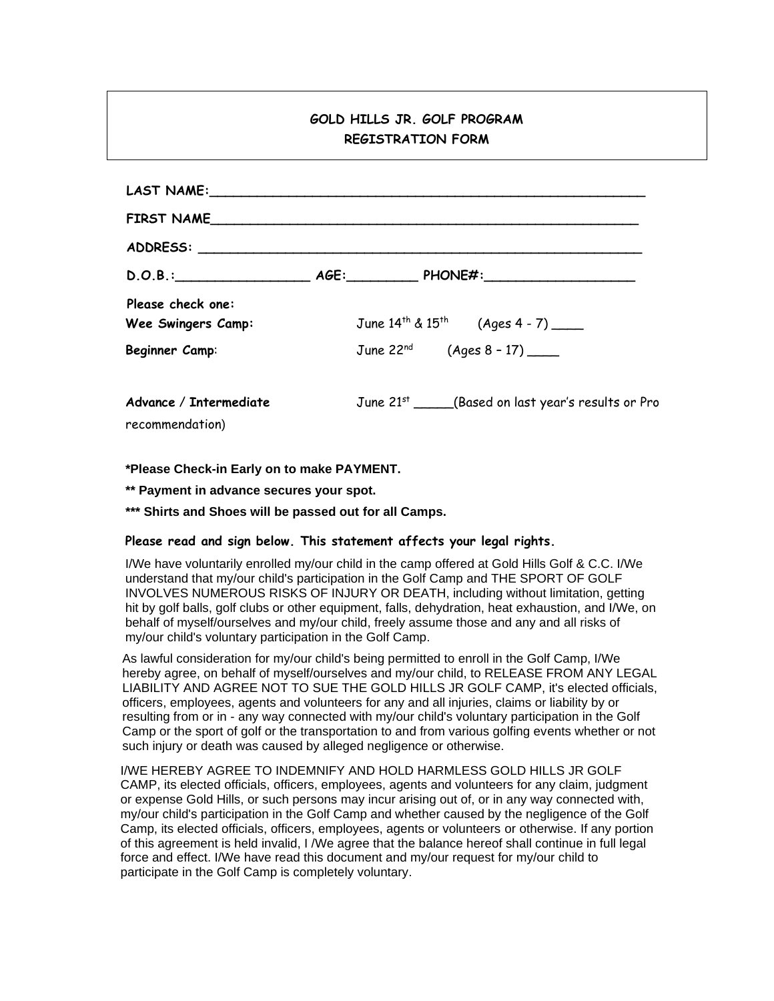## **GOLD HILLS JR. GOLF PROGRAM REGISTRATION FORM**

| LAST NAME: NAME:                               |                                                    |
|------------------------------------------------|----------------------------------------------------|
| FIRST NAME                                     |                                                    |
|                                                |                                                    |
|                                                | $D.O.B.:$ $AGE:$ $PHONE#:$                         |
| Please check one:<br><b>Wee Swingers Camp:</b> | June $14^{th}$ & $15^{th}$ (Ages 4 - 7) _____      |
| Beginner Camp:                                 | June 22 <sup>nd</sup> (Ages 8 - 17) _____          |
| Advance / Intermediate<br>recommendation)      | June 21st ____(Based on last year's results or Pro |

**\*Please Check-in Early on to make PAYMENT.**

**\*\* Payment in advance secures your spot.**

**\*\*\* Shirts and Shoes will be passed out for all Camps.**

## **Please read and sign below. This statement affects your legal rights.**

I/We have voluntarily enrolled my/our child in the camp offered at Gold Hills Golf & C.C. I/We understand that my/our child's participation in the Golf Camp and THE SPORT OF GOLF INVOLVES NUMEROUS RISKS OF INJURY OR DEATH, including without limitation, getting hit by golf balls, golf clubs or other equipment, falls, dehydration, heat exhaustion, and I/We, on behalf of myself/ourselves and my/our child, freely assume those and any and all risks of my/our child's voluntary participation in the Golf Camp.

As lawful consideration for my/our child's being permitted to enroll in the Golf Camp, I/We hereby agree, on behalf of myself/ourselves and my/our child, to RELEASE FROM ANY LEGAL LIABILITY AND AGREE NOT TO SUE THE GOLD HILLS JR GOLF CAMP, it's elected officials, officers, employees, agents and volunteers for any and all injuries, claims or liability by or resulting from or in - any way connected with my/our child's voluntary participation in the Golf Camp or the sport of golf or the transportation to and from various golfing events whether or not such injury or death was caused by alleged negligence or otherwise.

I/WE HEREBY AGREE TO INDEMNIFY AND HOLD HARMLESS GOLD HILLS JR GOLF CAMP, its elected officials, officers, employees, agents and volunteers for any claim, judgment or expense Gold Hills, or such persons may incur arising out of, or in any way connected with, my/our child's participation in the Golf Camp and whether caused by the negligence of the Golf Camp, its elected officials, officers, employees, agents or volunteers or otherwise. If any portion of this agreement is held invalid, I /We agree that the balance hereof shall continue in full legal force and effect. I/We have read this document and my/our request for my/our child to participate in the Golf Camp is completely voluntary.